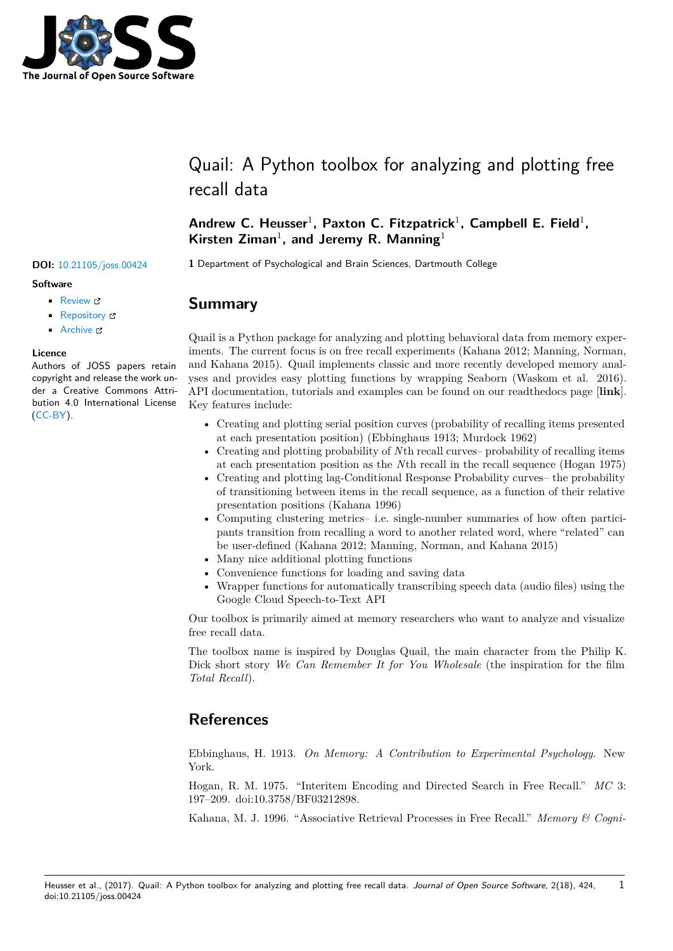

# Quail: A Python toolbox for analyzing and plotting free recall data

### Andrew C. Heusser<sup>1</sup>, Paxton C. Fitzpatrick<sup>1</sup>, Campbell E. Field<sup>1</sup>, **Kirsten Ziman**<sup>1</sup> **, and Jeremy R. Manning**<sup>1</sup>

**DOI:** 10.21105/joss.00424 **1** Department of Psychological and Brain Sciences, Dartmouth College

### **Summary**

Quail is a Python package for analyzing and plotting behavioral data from memory experiments. The current focus is on free recall experiments (Kahana 2012; Manning, Norman, and Kahana 2015). Quail implements classic and more recently developed memory analyses and provides easy plotting functions by wrapping Seaborn (Waskom et al. 2016). API documentation, tutorials and examples can be found on our readthedocs page [**link**]. Key features include:

- Creating and plotting serial position curves (probability of recalling items presented at each presentation position) (Ebbinghaus 1913; Murdock 1962)
- Creating and plotting probability of *N*th recall curves– probability of recalling items at each presentation position as the *N*th recall in the recall sequence (Hogan 1975)
- Creating and plotting lag-Conditional Response Probability curves– the probability of transitioning between items in the recall sequence, as a function of their relative presentation positions (Kahana 1996)
- Computing clustering metrics– i.e. single-number summaries of how often participants transition from recalling a word to another related word, where "related" can be user-defined (Kahana 2012; Manning, Norman, and Kahana 2015)
- Many nice additional plotting functions
- Convenience functions for loading and saving data
- Wrapper functions for automatically transcribing speech data (audio files) using the Google Cloud Speech-to-Text API

Our toolbox is primarily aimed at memory researchers who want to analyze and visualize free recall data.

The t[oolbox name is inspired by Dougla](https://cloud.google.com/speech/)s Quail, the main character from the Philip K. Dick short story *We Can Remember It for You Wholesale* (the inspiration for the film *Total Recall*).

## **[Referenc](https://en.wikipedia.org/wiki/Total_Recall_(1990_film))es**

Ebbinghaus, H. 1913. *On Memory: A Contribution to Experimental Psychology*. New York.

Hogan, R. M. 1975. "Interitem Encoding and Directed Search in Free Recall." *MC* 3: 197–209. doi:10.3758/BF03212898.

Kahana, M. J. 1996. "Associative Retrieval Processes in Free Recall." *Memory & Cogni-*

1

#### Heusser et al., (2017). Quail: A Python toolbox for analyzing and plotting free recall data. *Journal of Open Source Software*, 2(18), 424, doi:10.21105/joss.00424

### **Software**

- Review C
- [Repository](https://doi.org/10.21105/joss.00424) &
- Archive

### **Licence**

Autho[rs of JOSS](https://github.com/ContextLab/quail) papers retain copyright and release the work under a [Creativ](http://dx.doi.org/10.5281/zenodo.1003184)e Commons Attribution 4.0 International License (CC-BY).